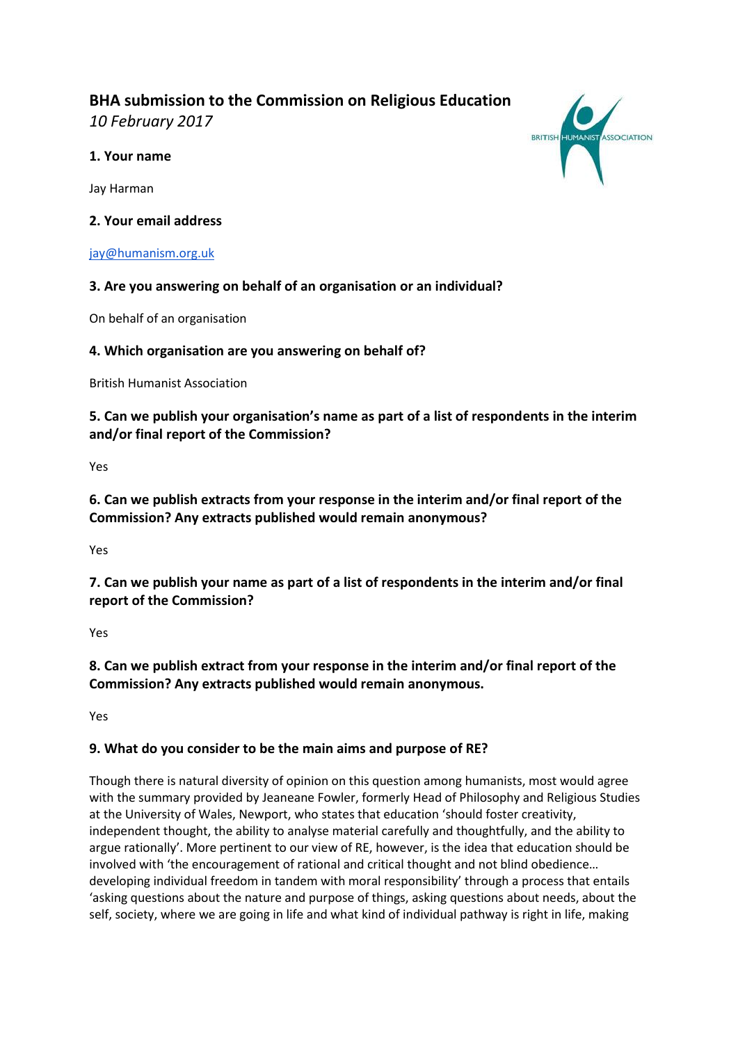# **BHA submission to the Commission on Religious Education**

*10 February 2017*

## **1. Your name**

Jay Harman

**2. Your email address**

### [jay@humanism.org.uk](mailto:jay@humanism.org.uk)

## **3. Are you answering on behalf of an organisation or an individual?**

On behalf of an organisation

## **4. Which organisation are you answering on behalf of?**

British Humanist Association

**5. Can we publish your organisation's name as part of a list of respondents in the interim and/or final report of the Commission?**

Yes

**6. Can we publish extracts from your response in the interim and/or final report of the Commission? Any extracts published would remain anonymous?** 

Yes

**7. Can we publish your name as part of a list of respondents in the interim and/or final report of the Commission?**

Yes

**8. Can we publish extract from your response in the interim and/or final report of the Commission? Any extracts published would remain anonymous.** 

Yes

### **9. What do you consider to be the main aims and purpose of RE?**

Though there is natural diversity of opinion on this question among humanists, most would agree with the summary provided by Jeaneane Fowler, formerly Head of Philosophy and Religious Studies at the University of Wales, Newport, who states that education 'should foster creativity, independent thought, the ability to analyse material carefully and thoughtfully, and the ability to argue rationally'. More pertinent to our view of RE, however, is the idea that education should be involved with 'the encouragement of rational and critical thought and not blind obedience… developing individual freedom in tandem with moral responsibility' through a process that entails 'asking questions about the nature and purpose of things, asking questions about needs, about the self, society, where we are going in life and what kind of individual pathway is right in life, making

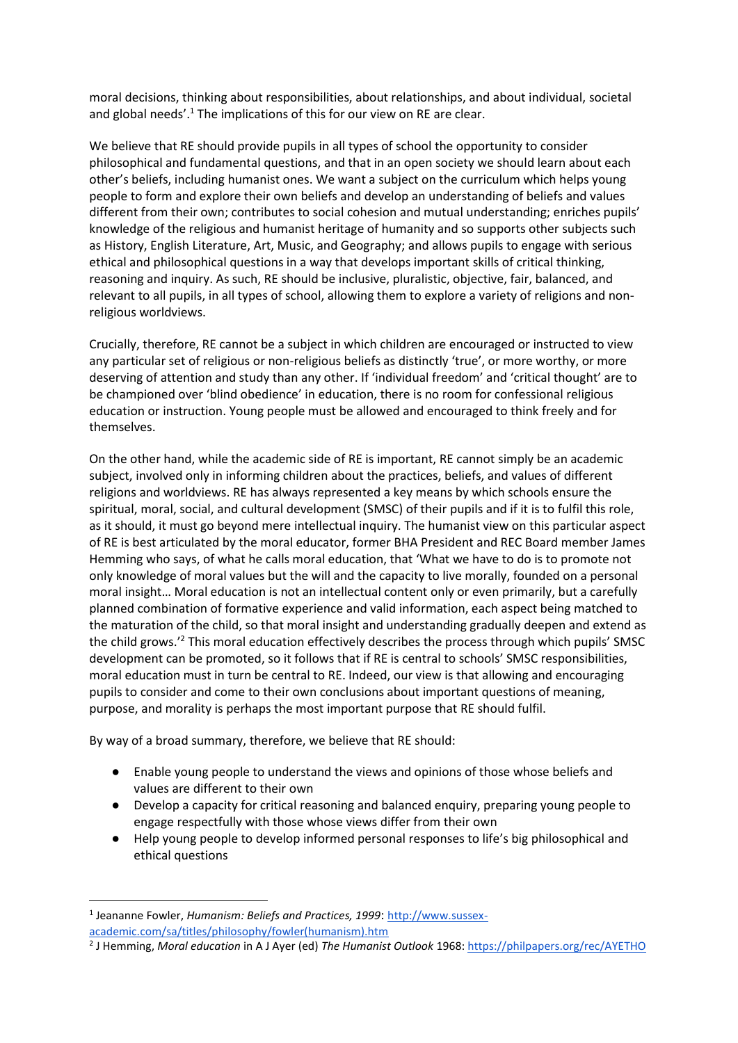moral decisions, thinking about responsibilities, about relationships, and about individual, societal and global needs'.<sup>1</sup> The implications of this for our view on RE are clear.

We believe that RE should provide pupils in all types of school the opportunity to consider philosophical and fundamental questions, and that in an open society we should learn about each other's beliefs, including humanist ones. We want a subject on the curriculum which helps young people to form and explore their own beliefs and develop an understanding of beliefs and values different from their own; contributes to social cohesion and mutual understanding; enriches pupils' knowledge of the religious and humanist heritage of humanity and so supports other subjects such as History, English Literature, Art, Music, and Geography; and allows pupils to engage with serious ethical and philosophical questions in a way that develops important skills of critical thinking, reasoning and inquiry. As such, RE should be inclusive, pluralistic, objective, fair, balanced, and relevant to all pupils, in all types of school, allowing them to explore a variety of religions and nonreligious worldviews.

Crucially, therefore, RE cannot be a subject in which children are encouraged or instructed to view any particular set of religious or non-religious beliefs as distinctly 'true', or more worthy, or more deserving of attention and study than any other. If 'individual freedom' and 'critical thought' are to be championed over 'blind obedience' in education, there is no room for confessional religious education or instruction. Young people must be allowed and encouraged to think freely and for themselves.

On the other hand, while the academic side of RE is important, RE cannot simply be an academic subject, involved only in informing children about the practices, beliefs, and values of different religions and worldviews. RE has always represented a key means by which schools ensure the spiritual, moral, social, and cultural development (SMSC) of their pupils and if it is to fulfil this role, as it should, it must go beyond mere intellectual inquiry. The humanist view on this particular aspect of RE is best articulated by the moral educator, former BHA President and REC Board member James Hemming who says, of what he calls moral education, that 'What we have to do is to promote not only knowledge of moral values but the will and the capacity to live morally, founded on a personal moral insight… Moral education is not an intellectual content only or even primarily, but a carefully planned combination of formative experience and valid information, each aspect being matched to the maturation of the child, so that moral insight and understanding gradually deepen and extend as the child grows.'<sup>2</sup> This moral education effectively describes the process through which pupils' SMSC development can be promoted, so it follows that if RE is central to schools' SMSC responsibilities, moral education must in turn be central to RE. Indeed, our view is that allowing and encouraging pupils to consider and come to their own conclusions about important questions of meaning, purpose, and morality is perhaps the most important purpose that RE should fulfil.

By way of a broad summary, therefore, we believe that RE should:

- Enable young people to understand the views and opinions of those whose beliefs and values are different to their own
- Develop a capacity for critical reasoning and balanced enquiry, preparing young people to engage respectfully with those whose views differ from their own
- Help young people to develop informed personal responses to life's big philosophical and ethical questions

1

<sup>&</sup>lt;sup>1</sup> Jeananne Fowler, *Humanism: Beliefs and Practices, 1999*: [http://www.sussex-](http://www.sussex-academic.com/sa/titles/philosophy/fowler(humanism).htm)

[academic.com/sa/titles/philosophy/fowler\(humanism\).htm](http://www.sussex-academic.com/sa/titles/philosophy/fowler(humanism).htm)

<sup>2</sup> J Hemming, *Moral education* in A J Ayer (ed) *The Humanist Outlook* 1968[: https://philpapers.org/rec/AYETHO](https://philpapers.org/rec/AYETHO)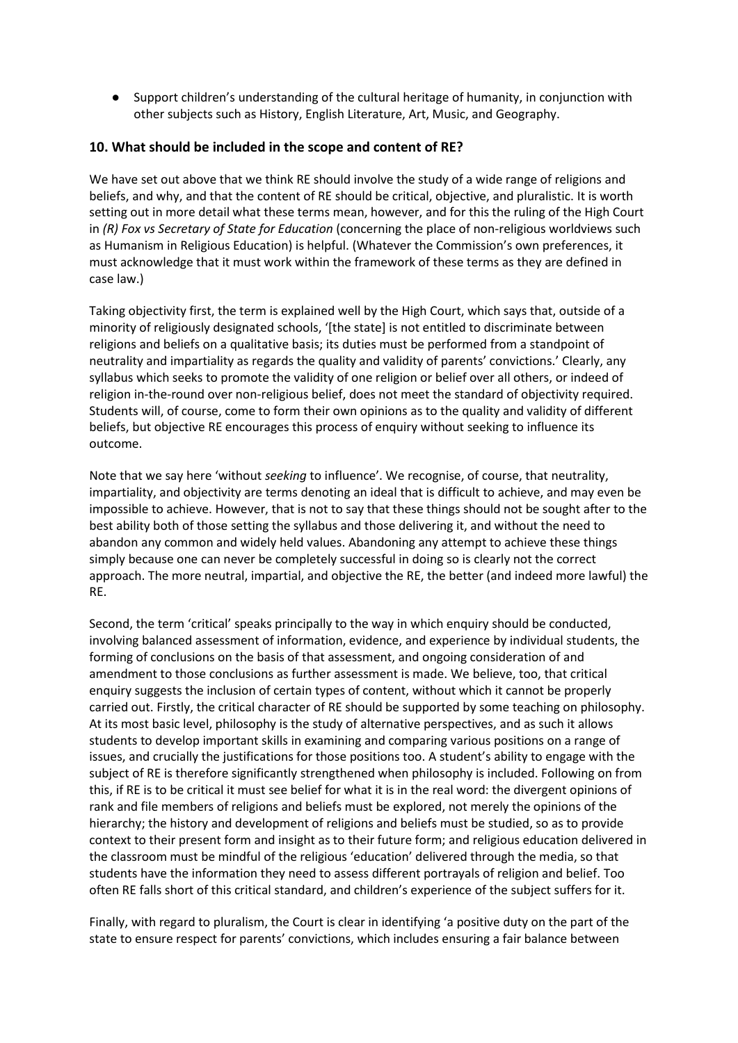● Support children's understanding of the cultural heritage of humanity, in conjunction with other subjects such as History, English Literature, Art, Music, and Geography.

#### **10. What should be included in the scope and content of RE?**

We have set out above that we think RE should involve the study of a wide range of religions and beliefs, and why, and that the content of RE should be critical, objective, and pluralistic. It is worth setting out in more detail what these terms mean, however, and for this the ruling of the High Court in *(R) Fox vs Secretary of State for Education* (concerning the place of non-religious worldviews such as Humanism in Religious Education) is helpful. (Whatever the Commission's own preferences, it must acknowledge that it must work within the framework of these terms as they are defined in case law.)

Taking objectivity first, the term is explained well by the High Court, which says that, outside of a minority of religiously designated schools, '[the state] is not entitled to discriminate between religions and beliefs on a qualitative basis; its duties must be performed from a standpoint of neutrality and impartiality as regards the quality and validity of parents' convictions.' Clearly, any syllabus which seeks to promote the validity of one religion or belief over all others, or indeed of religion in-the-round over non-religious belief, does not meet the standard of objectivity required. Students will, of course, come to form their own opinions as to the quality and validity of different beliefs, but objective RE encourages this process of enquiry without seeking to influence its outcome.

Note that we say here 'without *seeking* to influence'. We recognise, of course, that neutrality, impartiality, and objectivity are terms denoting an ideal that is difficult to achieve, and may even be impossible to achieve. However, that is not to say that these things should not be sought after to the best ability both of those setting the syllabus and those delivering it, and without the need to abandon any common and widely held values. Abandoning any attempt to achieve these things simply because one can never be completely successful in doing so is clearly not the correct approach. The more neutral, impartial, and objective the RE, the better (and indeed more lawful) the RE.

Second, the term 'critical' speaks principally to the way in which enquiry should be conducted, involving balanced assessment of information, evidence, and experience by individual students, the forming of conclusions on the basis of that assessment, and ongoing consideration of and amendment to those conclusions as further assessment is made. We believe, too, that critical enquiry suggests the inclusion of certain types of content, without which it cannot be properly carried out. Firstly, the critical character of RE should be supported by some teaching on philosophy. At its most basic level, philosophy is the study of alternative perspectives, and as such it allows students to develop important skills in examining and comparing various positions on a range of issues, and crucially the justifications for those positions too. A student's ability to engage with the subject of RE is therefore significantly strengthened when philosophy is included. Following on from this, if RE is to be critical it must see belief for what it is in the real word: the divergent opinions of rank and file members of religions and beliefs must be explored, not merely the opinions of the hierarchy; the history and development of religions and beliefs must be studied, so as to provide context to their present form and insight as to their future form; and religious education delivered in the classroom must be mindful of the religious 'education' delivered through the media, so that students have the information they need to assess different portrayals of religion and belief. Too often RE falls short of this critical standard, and children's experience of the subject suffers for it.

Finally, with regard to pluralism, the Court is clear in identifying 'a positive duty on the part of the state to ensure respect for parents' convictions, which includes ensuring a fair balance between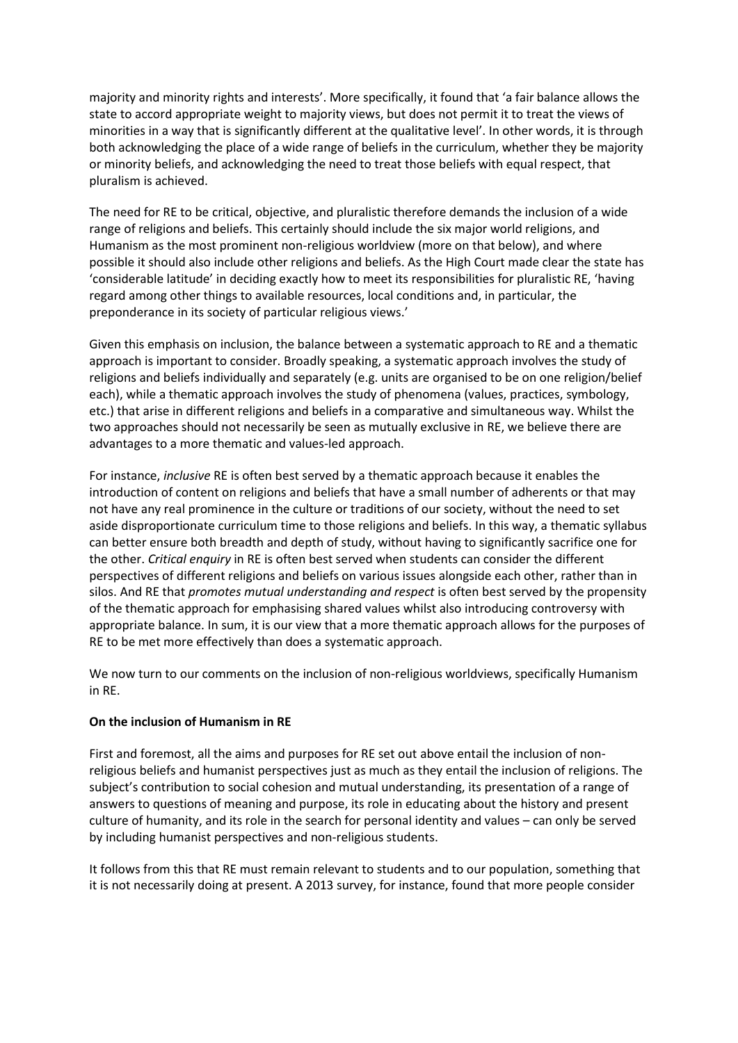majority and minority rights and interests'. More specifically, it found that 'a fair balance allows the state to accord appropriate weight to majority views, but does not permit it to treat the views of minorities in a way that is significantly different at the qualitative level'. In other words, it is through both acknowledging the place of a wide range of beliefs in the curriculum, whether they be majority or minority beliefs, and acknowledging the need to treat those beliefs with equal respect, that pluralism is achieved.

The need for RE to be critical, objective, and pluralistic therefore demands the inclusion of a wide range of religions and beliefs. This certainly should include the six major world religions, and Humanism as the most prominent non-religious worldview (more on that below), and where possible it should also include other religions and beliefs. As the High Court made clear the state has 'considerable latitude' in deciding exactly how to meet its responsibilities for pluralistic RE, 'having regard among other things to available resources, local conditions and, in particular, the preponderance in its society of particular religious views.'

Given this emphasis on inclusion, the balance between a systematic approach to RE and a thematic approach is important to consider. Broadly speaking, a systematic approach involves the study of religions and beliefs individually and separately (e.g. units are organised to be on one religion/belief each), while a thematic approach involves the study of phenomena (values, practices, symbology, etc.) that arise in different religions and beliefs in a comparative and simultaneous way. Whilst the two approaches should not necessarily be seen as mutually exclusive in RE, we believe there are advantages to a more thematic and values-led approach.

For instance, *inclusive* RE is often best served by a thematic approach because it enables the introduction of content on religions and beliefs that have a small number of adherents or that may not have any real prominence in the culture or traditions of our society, without the need to set aside disproportionate curriculum time to those religions and beliefs. In this way, a thematic syllabus can better ensure both breadth and depth of study, without having to significantly sacrifice one for the other. *Critical enquiry* in RE is often best served when students can consider the different perspectives of different religions and beliefs on various issues alongside each other, rather than in silos. And RE that *promotes mutual understanding and respect* is often best served by the propensity of the thematic approach for emphasising shared values whilst also introducing controversy with appropriate balance. In sum, it is our view that a more thematic approach allows for the purposes of RE to be met more effectively than does a systematic approach.

We now turn to our comments on the inclusion of non-religious worldviews, specifically Humanism in RE.

#### **On the inclusion of Humanism in RE**

First and foremost, all the aims and purposes for RE set out above entail the inclusion of nonreligious beliefs and humanist perspectives just as much as they entail the inclusion of religions. The subject's contribution to social cohesion and mutual understanding, its presentation of a range of answers to questions of meaning and purpose, its role in educating about the history and present culture of humanity, and its role in the search for personal identity and values – can only be served by including humanist perspectives and non-religious students.

It follows from this that RE must remain relevant to students and to our population, something that it is not necessarily doing at present. A 2013 survey, for instance, found that more people consider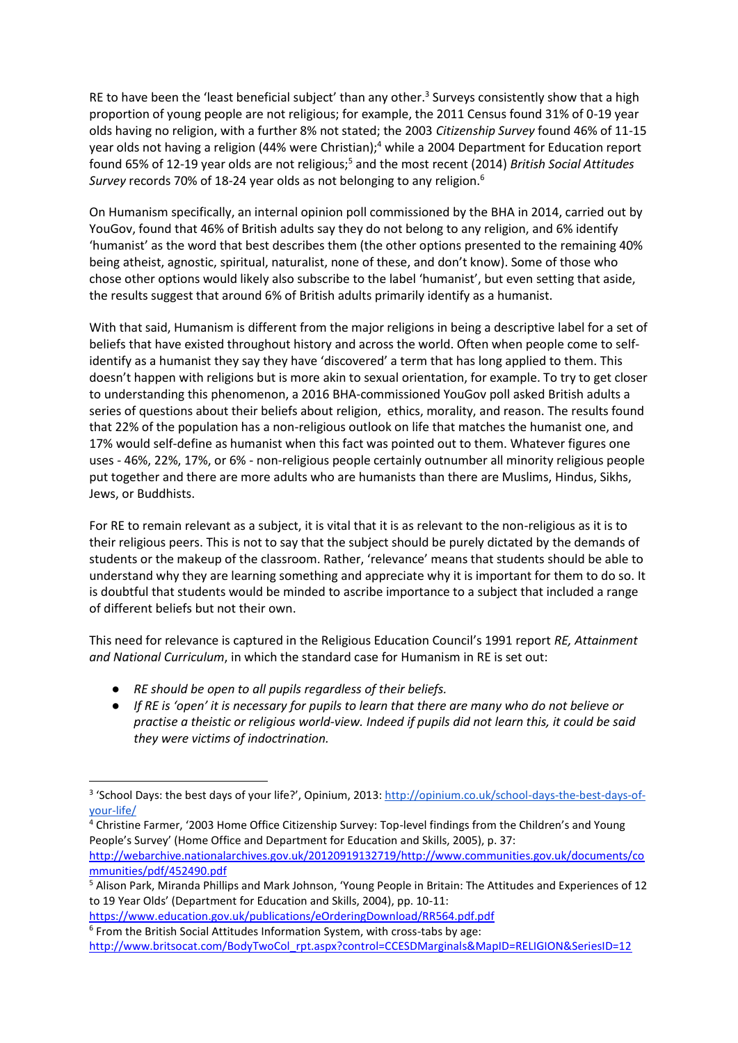RE to have been the 'least beneficial subject' than any other.<sup>3</sup> Surveys consistently show that a high proportion of young people are not religious; for example, the 2011 Census found 31% of 0-19 year olds having no religion, with a further 8% not stated; the 2003 *Citizenship Survey* found 46% of 11-15 year olds not having a religion (44% were Christian);<sup>4</sup> while a 2004 Department for Education report found 65% of 12-19 year olds are not religious;<sup>5</sup> and the most recent (2014) *British Social Attitudes Survey* records 70% of 18-24 year olds as not belonging to any religion.<sup>6</sup>

On Humanism specifically, an internal opinion poll commissioned by the BHA in 2014, carried out by YouGov, found that 46% of British adults say they do not belong to any religion, and 6% identify 'humanist' as the word that best describes them (the other options presented to the remaining 40% being atheist, agnostic, spiritual, naturalist, none of these, and don't know). Some of those who chose other options would likely also subscribe to the label 'humanist', but even setting that aside, the results suggest that around 6% of British adults primarily identify as a humanist.

With that said, Humanism is different from the major religions in being a descriptive label for a set of beliefs that have existed throughout history and across the world. Often when people come to selfidentify as a humanist they say they have 'discovered' a term that has long applied to them. This doesn't happen with religions but is more akin to sexual orientation, for example. To try to get closer to understanding this phenomenon, a 2016 BHA-commissioned YouGov poll asked British adults a series of questions about their beliefs about religion, ethics, morality, and reason. The results found that 22% of the population has a non-religious outlook on life that matches the humanist one, and 17% would self-define as humanist when this fact was pointed out to them. Whatever figures one uses - 46%, 22%, 17%, or 6% - non-religious people certainly outnumber all minority religious people put together and there are more adults who are humanists than there are Muslims, Hindus, Sikhs, Jews, or Buddhists.

For RE to remain relevant as a subject, it is vital that it is as relevant to the non-religious as it is to their religious peers. This is not to say that the subject should be purely dictated by the demands of students or the makeup of the classroom. Rather, 'relevance' means that students should be able to understand why they are learning something and appreciate why it is important for them to do so. It is doubtful that students would be minded to ascribe importance to a subject that included a range of different beliefs but not their own.

This need for relevance is captured in the Religious Education Council's 1991 report *RE, Attainment and National Curriculum*, in which the standard case for Humanism in RE is set out:

● *RE should be open to all pupils regardless of their beliefs.*

**.** 

● *If RE is 'open' it is necessary for pupils to learn that there are many who do not believe or practise a theistic or religious world-view. Indeed if pupils did not learn this, it could be said they were victims of indoctrination.*

<sup>&</sup>lt;sup>3</sup> 'School Days: the best days of your life?', Opinium, 2013[: http://opinium.co.uk/school-days-the-best-days-of](http://opinium.co.uk/school-days-the-best-days-of-your-life/)[your-life/](http://opinium.co.uk/school-days-the-best-days-of-your-life/)

<sup>&</sup>lt;sup>4</sup> Christine Farmer, '2003 Home Office Citizenship Survey: Top-level findings from the Children's and Young People's Survey' (Home Office and Department for Education and Skills, 2005), p. 37: [http://webarchive.nationalarchives.gov.uk/20120919132719/http://www.communities.gov.uk/documents/co](http://webarchive.nationalarchives.gov.uk/20120919132719/http:/www.communities.gov.uk/documents/communities/pdf/452490.pdf)

[mmunities/pdf/452490.pdf](http://webarchive.nationalarchives.gov.uk/20120919132719/http:/www.communities.gov.uk/documents/communities/pdf/452490.pdf) <sup>5</sup> Alison Park, Miranda Phillips and Mark Johnson, 'Young People in Britain: The Attitudes and Experiences of 12 to 19 Year Olds' (Department for Education and Skills, 2004), pp. 10-11:

<https://www.education.gov.uk/publications/eOrderingDownload/RR564.pdf.pdf> <sup>6</sup> From the British Social Attitudes Information System, with cross-tabs by age:

[http://www.britsocat.com/BodyTwoCol\\_rpt.aspx?control=CCESDMarginals&MapID=RELIGION&SeriesID=12](http://www.britsocat.com/BodyTwoCol_rpt.aspx?control=CCESDMarginals&MapID=RELIGION&SeriesID=12)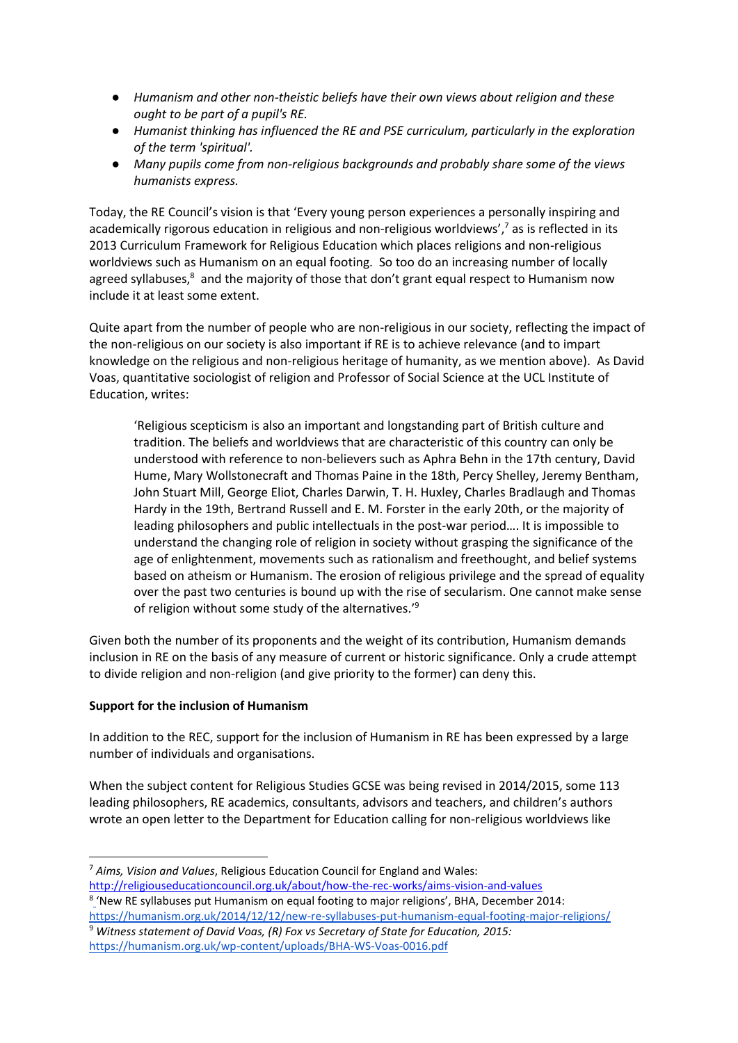- *Humanism and other non-theistic beliefs have their own views about religion and these ought to be part of a pupil's RE.*
- *Humanist thinking has influenced the RE and PSE curriculum, particularly in the exploration of the term 'spiritual'.*
- *Many pupils come from non-religious backgrounds and probably share some of the views humanists express.*

Today, the RE Council's vision is that 'Every young person experiences a personally inspiring and academically rigorous education in religious and non-religious worldviews',<sup>7</sup> as is reflected in its 2013 Curriculum Framework for Religious Education which places religions and non-religious worldviews such as Humanism on an equal footing. So too do an increasing number of locally agreed syllabuses,<sup>8</sup> and the majority of those that don't grant equal respect to Humanism now include it at least some extent.

Quite apart from the number of people who are non-religious in our society, reflecting the impact of the non-religious on our society is also important if RE is to achieve relevance (and to impart knowledge on the religious and non-religious heritage of humanity, as we mention above). As David Voas, quantitative sociologist of religion and Professor of Social Science at the UCL Institute of Education, writes:

'Religious scepticism is also an important and longstanding part of British culture and tradition. The beliefs and worldviews that are characteristic of this country can only be understood with reference to non-believers such as Aphra Behn in the 17th century, David Hume, Mary Wollstonecraft and Thomas Paine in the 18th, Percy Shelley, Jeremy Bentham, John Stuart Mill, George Eliot, Charles Darwin, T. H. Huxley, Charles Bradlaugh and Thomas Hardy in the 19th, Bertrand Russell and E. M. Forster in the early 20th, or the majority of leading philosophers and public intellectuals in the post-war period…. It is impossible to understand the changing role of religion in society without grasping the significance of the age of enlightenment, movements such as rationalism and freethought, and belief systems based on atheism or Humanism. The erosion of religious privilege and the spread of equality over the past two centuries is bound up with the rise of secularism. One cannot make sense of religion without some study of the alternatives.'<sup>9</sup>

Given both the number of its proponents and the weight of its contribution, Humanism demands inclusion in RE on the basis of any measure of current or historic significance. Only a crude attempt to divide religion and non-religion (and give priority to the former) can deny this.

### **Support for the inclusion of Humanism**

**.** 

In addition to the REC, support for the inclusion of Humanism in RE has been expressed by a large number of individuals and organisations.

When the subject content for Religious Studies GCSE was being revised in 2014/2015, some 113 leading philosophers, RE academics, consultants, advisors and teachers, and children's authors wrote an open letter to the Department for Education calling for non-religious worldviews like

<http://religiouseducationcouncil.org.uk/about/how-the-rec-works/aims-vision-and-values>

<sup>8</sup> ['](http://www.britsocat.com/BodyTwoCol_rpt.aspx?control=CCESDMarginals&MapID=RELIGION&SeriesID=12)New RE syllabuses put Humanism on equal footing to major religions', BHA, December 2014: <https://humanism.org.uk/2014/12/12/new-re-syllabuses-put-humanism-equal-footing-major-religions/> <sup>9</sup> *Witness statement of David Voas, (R) Fox vs Secretary of State for Education, 2015:*  <https://humanism.org.uk/wp-content/uploads/BHA-WS-Voas-0016.pdf>

<sup>7</sup> *Aims, Vision and Values*, Religious Education Council for England and Wales: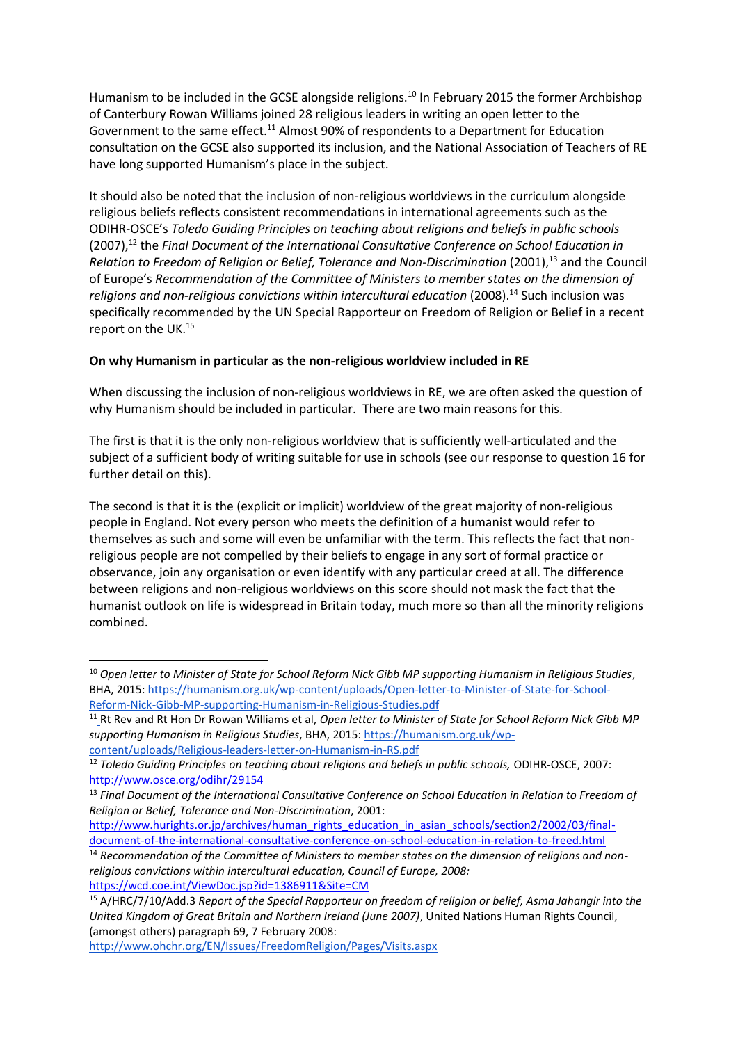Humanism to be included in the GCSE alongside religions.<sup>10</sup> In February 2015 the former Archbishop of Canterbury Rowan Williams joined 28 religious leaders in writing an open letter to the Government to the same effect.<sup>11</sup> Almost 90% of respondents to a Department for Education consultation on the GCSE also supported its inclusion, and the National Association of Teachers of RE have long supported Humanism's place in the subject.

It should also be noted that the inclusion of non-religious worldviews in the curriculum alongside religious beliefs reflects consistent recommendations in international agreements such as the ODIHR-OSCE's *Toledo Guiding Principles on teaching about religions and beliefs in public schools*  (2007),<sup>12</sup> the *Final Document of the International Consultative Conference on School Education in Relation to Freedom of Religion or Belief, Tolerance and Non-Discrimination* (2001),<sup>13</sup> and the Council of Europe's *Recommendation of the Committee of Ministers to member states on the dimension of religions and non-religious convictions within intercultural education* (2008).<sup>14</sup> Such inclusion was specifically recommended by the UN Special Rapporteur on Freedom of Religion or Belief in a recent report on the UK.<sup>15</sup>

### **On why Humanism in particular as the non-religious worldview included in RE**

When discussing the inclusion of non-religious worldviews in RE, we are often asked the question of why Humanism should be included in particular. There are two main reasons for this.

The first is that it is the only non-religious worldview that is sufficiently well-articulated and the subject of a sufficient body of writing suitable for use in schools (see our response to question 16 for further detail on this).

The second is that it is the (explicit or implicit) worldview of the great majority of non-religious people in England. Not every person who meets the definition of a humanist would refer to themselves as such and some will even be unfamiliar with the term. This reflects the fact that nonreligious people are not compelled by their beliefs to engage in any sort of formal practice or observance, join any organisation or even identify with any particular creed at all. The difference between religions and non-religious worldviews on this score should not mask the fact that the humanist outlook on life is widespread in Britain today, much more so than all the minority religions combined.

1

<sup>10</sup> *Open letter to Minister of State for School Reform Nick Gibb MP supporting Humanism in Religious Studies*, BHA, 2015[: https://humanism.org.uk/wp-content/uploads/Open-letter-to-Minister-of-State-for-School-](https://humanism.org.uk/wp-content/uploads/Open-letter-to-Minister-of-State-for-School-Reform-Nick-Gibb-MP-supporting-Humanism-in-Religious-Studies.pdf)[Reform-Nick-Gibb-MP-supporting-Humanism-in-Religious-Studies.pdf](https://humanism.org.uk/wp-content/uploads/Open-letter-to-Minister-of-State-for-School-Reform-Nick-Gibb-MP-supporting-Humanism-in-Religious-Studies.pdf)

<sup>11</sup> [R](http://www.britsocat.com/BodyTwoCol_rpt.aspx?control=CCESDMarginals&MapID=RELIGION&SeriesID=12)t Rev and Rt Hon Dr Rowan Williams et al, *Open letter to Minister of State for School Reform Nick Gibb MP supporting Humanism in Religious Studies*, BHA, 2015[: https://humanism.org.uk/wp](https://humanism.org.uk/wp-content/uploads/Religious-leaders-letter-on-Humanism-in-RS.pdf)[content/uploads/Religious-leaders-letter-on-Humanism-in-RS.pdf](https://humanism.org.uk/wp-content/uploads/Religious-leaders-letter-on-Humanism-in-RS.pdf)

<sup>&</sup>lt;sup>12</sup> Toledo Guiding Principles on teaching about religions and beliefs in public schools, ODIHR-OSCE, 2007: <http://www.osce.org/odihr/29154>

<sup>13</sup> *Final Document of the International Consultative Conference on School Education in Relation to Freedom of Religion or Belief, Tolerance and Non-Discrimination*, 2001:

[http://www.hurights.or.jp/archives/human\\_rights\\_education\\_in\\_asian\\_schools/section2/2002/03/final](http://www.hurights.or.jp/archives/human_rights_education_in_asian_schools/section2/2002/03/final-document-of-the-international-consultative-conference-on-school-education-in-relation-to-freed.html)[document-of-the-international-consultative-conference-on-school-education-in-relation-to-freed.html](http://www.hurights.or.jp/archives/human_rights_education_in_asian_schools/section2/2002/03/final-document-of-the-international-consultative-conference-on-school-education-in-relation-to-freed.html)

<sup>14</sup> *Recommendation of the Committee of Ministers to member states on the dimension of religions and nonreligious convictions within intercultural education, Council of Europe, 2008:* <https://wcd.coe.int/ViewDoc.jsp?id=1386911&Site=CM>

<sup>15</sup> A/HRC/7/10/Add.3 *Report of the Special Rapporteur on freedom of religion or belief, Asma Jahangir into the United Kingdom of Great Britain and Northern Ireland (June 2007)*, United Nations Human Rights Council, (amongst others) paragraph 69, 7 February 2008:

<http://www.ohchr.org/EN/Issues/FreedomReligion/Pages/Visits.aspx>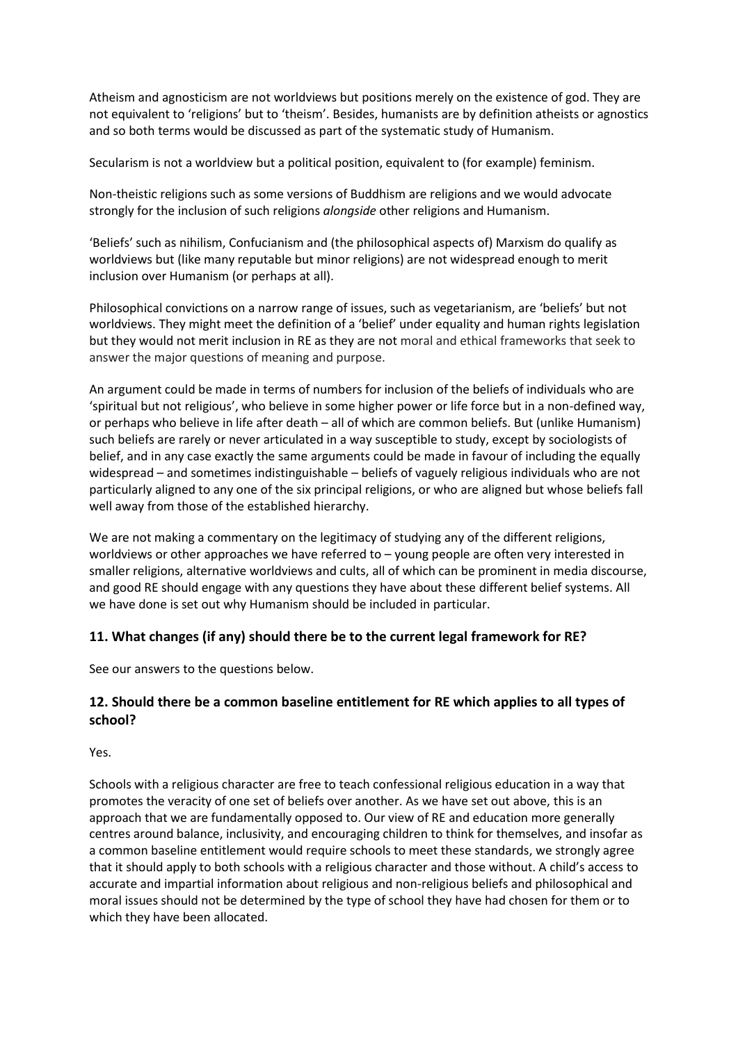Atheism and agnosticism are not worldviews but positions merely on the existence of god. They are not equivalent to 'religions' but to 'theism'. Besides, humanists are by definition atheists or agnostics and so both terms would be discussed as part of the systematic study of Humanism.

Secularism is not a worldview but a political position, equivalent to (for example) feminism.

Non-theistic religions such as some versions of Buddhism are religions and we would advocate strongly for the inclusion of such religions *alongside* other religions and Humanism.

'Beliefs' such as nihilism, Confucianism and (the philosophical aspects of) Marxism do qualify as worldviews but (like many reputable but minor religions) are not widespread enough to merit inclusion over Humanism (or perhaps at all).

Philosophical convictions on a narrow range of issues, such as vegetarianism, are 'beliefs' but not worldviews. They might meet the definition of a 'belief' under equality and human rights legislation but they would not merit inclusion in RE as they are not moral and ethical frameworks that seek to answer the major questions of meaning and purpose.

An argument could be made in terms of numbers for inclusion of the beliefs of individuals who are 'spiritual but not religious', who believe in some higher power or life force but in a non-defined way, or perhaps who believe in life after death – all of which are common beliefs. But (unlike Humanism) such beliefs are rarely or never articulated in a way susceptible to study, except by sociologists of belief, and in any case exactly the same arguments could be made in favour of including the equally widespread – and sometimes indistinguishable – beliefs of vaguely religious individuals who are not particularly aligned to any one of the six principal religions, or who are aligned but whose beliefs fall well away from those of the established hierarchy.

We are not making a commentary on the legitimacy of studying any of the different religions, worldviews or other approaches we have referred to – young people are often very interested in smaller religions, alternative worldviews and cults, all of which can be prominent in media discourse, and good RE should engage with any questions they have about these different belief systems. All we have done is set out why Humanism should be included in particular.

### **11. What changes (if any) should there be to the current legal framework for RE?**

See our answers to the questions below.

### **12. Should there be a common baseline entitlement for RE which applies to all types of school?**

Yes.

Schools with a religious character are free to teach confessional religious education in a way that promotes the veracity of one set of beliefs over another. As we have set out above, this is an approach that we are fundamentally opposed to. Our view of RE and education more generally centres around balance, inclusivity, and encouraging children to think for themselves, and insofar as a common baseline entitlement would require schools to meet these standards, we strongly agree that it should apply to both schools with a religious character and those without. A child's access to accurate and impartial information about religious and non-religious beliefs and philosophical and moral issues should not be determined by the type of school they have had chosen for them or to which they have been allocated.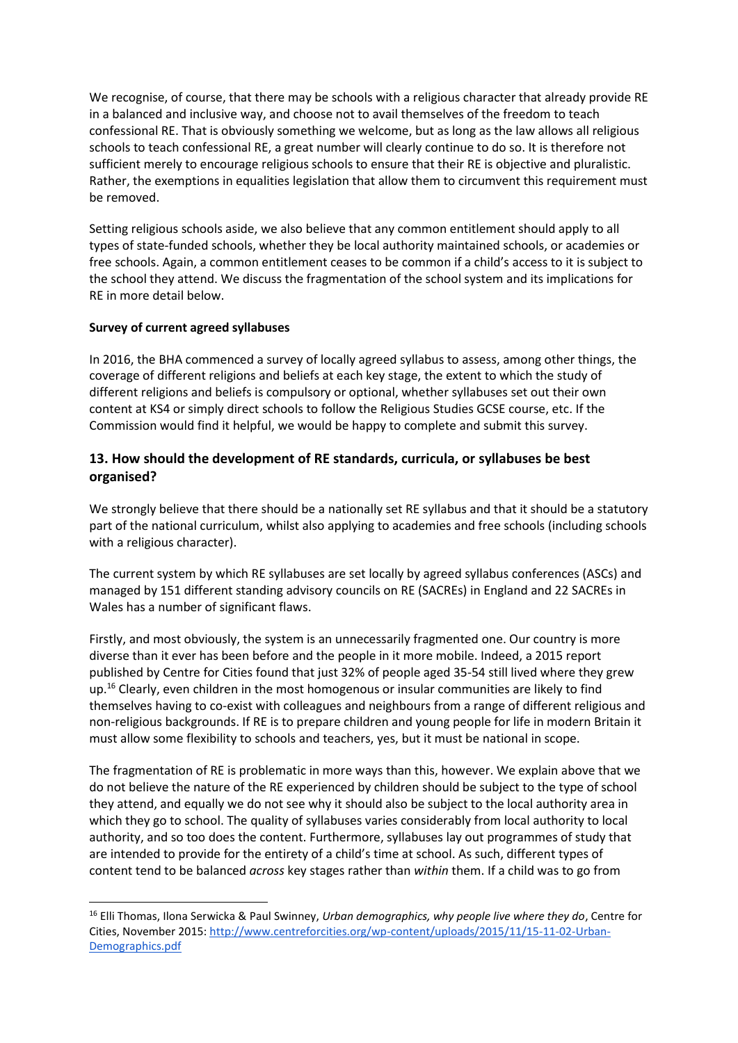We recognise, of course, that there may be schools with a religious character that already provide RE in a balanced and inclusive way, and choose not to avail themselves of the freedom to teach confessional RE. That is obviously something we welcome, but as long as the law allows all religious schools to teach confessional RE, a great number will clearly continue to do so. It is therefore not sufficient merely to encourage religious schools to ensure that their RE is objective and pluralistic. Rather, the exemptions in equalities legislation that allow them to circumvent this requirement must be removed.

Setting religious schools aside, we also believe that any common entitlement should apply to all types of state-funded schools, whether they be local authority maintained schools, or academies or free schools. Again, a common entitlement ceases to be common if a child's access to it is subject to the school they attend. We discuss the fragmentation of the school system and its implications for RE in more detail below.

### **Survey of current agreed syllabuses**

1

In 2016, the BHA commenced a survey of locally agreed syllabus to assess, among other things, the coverage of different religions and beliefs at each key stage, the extent to which the study of different religions and beliefs is compulsory or optional, whether syllabuses set out their own content at KS4 or simply direct schools to follow the Religious Studies GCSE course, etc. If the Commission would find it helpful, we would be happy to complete and submit this survey.

### **13. How should the development of RE standards, curricula, or syllabuses be best organised?**

We strongly believe that there should be a nationally set RE syllabus and that it should be a statutory part of the national curriculum, whilst also applying to academies and free schools (including schools with a religious character).

The current system by which RE syllabuses are set locally by agreed syllabus conferences (ASCs) and managed by 151 different standing advisory councils on RE (SACREs) in England and 22 SACREs in Wales has a number of significant flaws.

Firstly, and most obviously, the system is an unnecessarily fragmented one. Our country is more diverse than it ever has been before and the people in it more mobile. Indeed, a 2015 report published by Centre for Cities found that just 32% of people aged 35-54 still lived where they grew up.<sup>16</sup> Clearly, even children in the most homogenous or insular communities are likely to find themselves having to co-exist with colleagues and neighbours from a range of different religious and non-religious backgrounds. If RE is to prepare children and young people for life in modern Britain it must allow some flexibility to schools and teachers, yes, but it must be national in scope.

The fragmentation of RE is problematic in more ways than this, however. We explain above that we do not believe the nature of the RE experienced by children should be subject to the type of school they attend, and equally we do not see why it should also be subject to the local authority area in which they go to school. The quality of syllabuses varies considerably from local authority to local authority, and so too does the content. Furthermore, syllabuses lay out programmes of study that are intended to provide for the entirety of a child's time at school. As such, different types of content tend to be balanced *across* key stages rather than *within* them. If a child was to go from

<sup>16</sup> Elli Thomas, Ilona Serwicka & Paul Swinney, *Urban demographics, why people live where they do*, Centre for Cities, November 2015: [http://www.centreforcities.org/wp-content/uploads/2015/11/15-11-02-Urban-](http://www.centreforcities.org/wp-content/uploads/2015/11/15-11-02-Urban-Demographics.pdf)[Demographics.pdf](http://www.centreforcities.org/wp-content/uploads/2015/11/15-11-02-Urban-Demographics.pdf)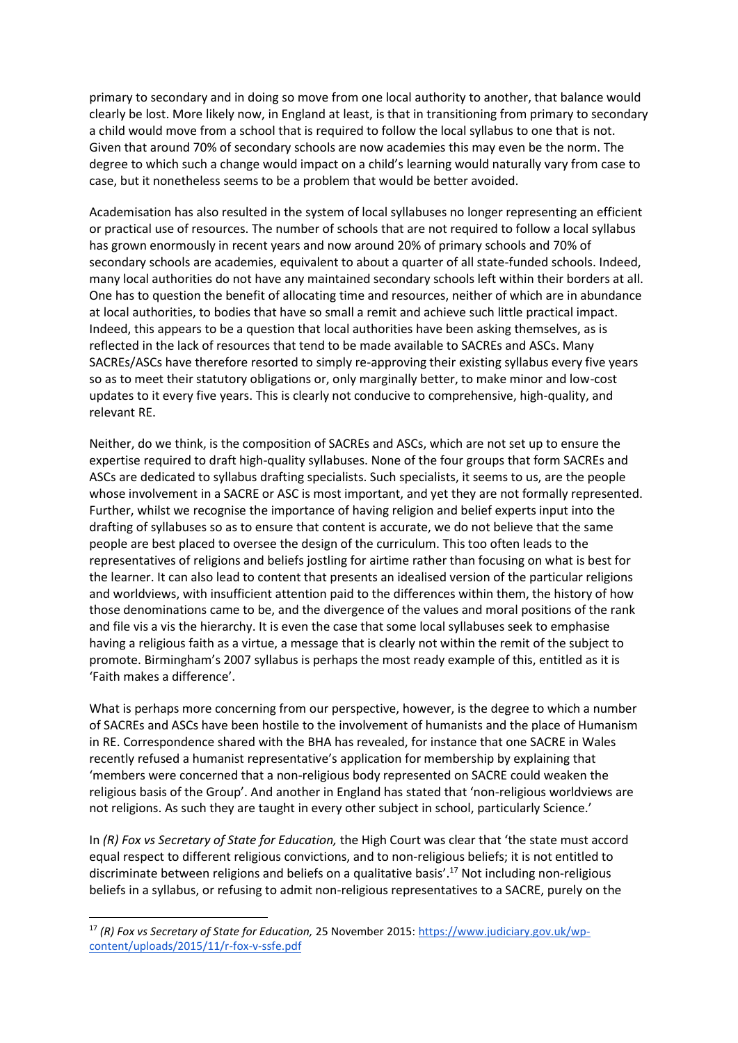primary to secondary and in doing so move from one local authority to another, that balance would clearly be lost. More likely now, in England at least, is that in transitioning from primary to secondary a child would move from a school that is required to follow the local syllabus to one that is not. Given that around 70% of secondary schools are now academies this may even be the norm. The degree to which such a change would impact on a child's learning would naturally vary from case to case, but it nonetheless seems to be a problem that would be better avoided.

Academisation has also resulted in the system of local syllabuses no longer representing an efficient or practical use of resources. The number of schools that are not required to follow a local syllabus has grown enormously in recent years and now around 20% of primary schools and 70% of secondary schools are academies, equivalent to about a quarter of all state-funded schools. Indeed, many local authorities do not have any maintained secondary schools left within their borders at all. One has to question the benefit of allocating time and resources, neither of which are in abundance at local authorities, to bodies that have so small a remit and achieve such little practical impact. Indeed, this appears to be a question that local authorities have been asking themselves, as is reflected in the lack of resources that tend to be made available to SACREs and ASCs. Many SACREs/ASCs have therefore resorted to simply re-approving their existing syllabus every five years so as to meet their statutory obligations or, only marginally better, to make minor and low-cost updates to it every five years. This is clearly not conducive to comprehensive, high-quality, and relevant RE.

Neither, do we think, is the composition of SACREs and ASCs, which are not set up to ensure the expertise required to draft high-quality syllabuses. None of the four groups that form SACREs and ASCs are dedicated to syllabus drafting specialists. Such specialists, it seems to us, are the people whose involvement in a SACRE or ASC is most important, and yet they are not formally represented. Further, whilst we recognise the importance of having religion and belief experts input into the drafting of syllabuses so as to ensure that content is accurate, we do not believe that the same people are best placed to oversee the design of the curriculum. This too often leads to the representatives of religions and beliefs jostling for airtime rather than focusing on what is best for the learner. It can also lead to content that presents an idealised version of the particular religions and worldviews, with insufficient attention paid to the differences within them, the history of how those denominations came to be, and the divergence of the values and moral positions of the rank and file vis a vis the hierarchy. It is even the case that some local syllabuses seek to emphasise having a religious faith as a virtue, a message that is clearly not within the remit of the subject to promote. Birmingham's 2007 syllabus is perhaps the most ready example of this, entitled as it is 'Faith makes a difference'.

What is perhaps more concerning from our perspective, however, is the degree to which a number of SACREs and ASCs have been hostile to the involvement of humanists and the place of Humanism in RE. Correspondence shared with the BHA has revealed, for instance that one SACRE in Wales recently refused a humanist representative's application for membership by explaining that 'members were concerned that a non-religious body represented on SACRE could weaken the religious basis of the Group'. And another in England has stated that 'non-religious worldviews are not religions. As such they are taught in every other subject in school, particularly Science.'

In *(R) Fox vs Secretary of State for Education,* the High Court was clear that 'the state must accord equal respect to different religious convictions, and to non-religious beliefs; it is not entitled to discriminate between religions and beliefs on a qualitative basis'.<sup>17</sup> Not including non-religious beliefs in a syllabus, or refusing to admit non-religious representatives to a SACRE, purely on the

**.** 

<sup>17</sup> *(R) Fox vs Secretary of State for Education,* 25 November 2015: [https://www.judiciary.gov.uk/wp](https://www.judiciary.gov.uk/wp-content/uploads/2015/11/r-fox-v-ssfe.pdf)[content/uploads/2015/11/r-fox-v-ssfe.pdf](https://www.judiciary.gov.uk/wp-content/uploads/2015/11/r-fox-v-ssfe.pdf)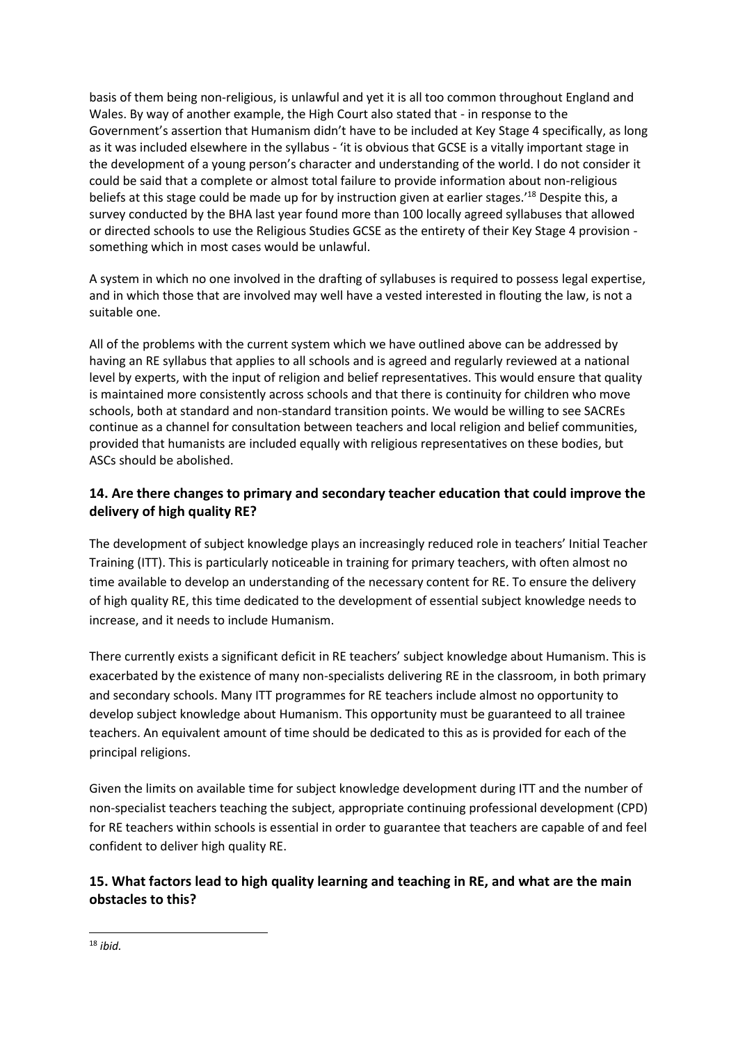basis of them being non-religious, is unlawful and yet it is all too common throughout England and Wales. By way of another example, the High Court also stated that - in response to the Government's assertion that Humanism didn't have to be included at Key Stage 4 specifically, as long as it was included elsewhere in the syllabus - 'it is obvious that GCSE is a vitally important stage in the development of a young person's character and understanding of the world. I do not consider it could be said that a complete or almost total failure to provide information about non-religious beliefs at this stage could be made up for by instruction given at earlier stages.'<sup>18</sup> Despite this, a survey conducted by the BHA last year found more than 100 locally agreed syllabuses that allowed or directed schools to use the Religious Studies GCSE as the entirety of their Key Stage 4 provision something which in most cases would be unlawful.

A system in which no one involved in the drafting of syllabuses is required to possess legal expertise, and in which those that are involved may well have a vested interested in flouting the law, is not a suitable one.

All of the problems with the current system which we have outlined above can be addressed by having an RE syllabus that applies to all schools and is agreed and regularly reviewed at a national level by experts, with the input of religion and belief representatives. This would ensure that quality is maintained more consistently across schools and that there is continuity for children who move schools, both at standard and non-standard transition points. We would be willing to see SACREs continue as a channel for consultation between teachers and local religion and belief communities, provided that humanists are included equally with religious representatives on these bodies, but ASCs should be abolished.

### **14. Are there changes to primary and secondary teacher education that could improve the delivery of high quality RE?**

The development of subject knowledge plays an increasingly reduced role in teachers' Initial Teacher Training (ITT). This is particularly noticeable in training for primary teachers, with often almost no time available to develop an understanding of the necessary content for RE. To ensure the delivery of high quality RE, this time dedicated to the development of essential subject knowledge needs to increase, and it needs to include Humanism.

There currently exists a significant deficit in RE teachers' subject knowledge about Humanism. This is exacerbated by the existence of many non-specialists delivering RE in the classroom, in both primary and secondary schools. Many ITT programmes for RE teachers include almost no opportunity to develop subject knowledge about Humanism. This opportunity must be guaranteed to all trainee teachers. An equivalent amount of time should be dedicated to this as is provided for each of the principal religions.

Given the limits on available time for subject knowledge development during ITT and the number of non-specialist teachers teaching the subject, appropriate continuing professional development (CPD) for RE teachers within schools is essential in order to guarantee that teachers are capable of and feel confident to deliver high quality RE.

## **15. What factors lead to high quality learning and teaching in RE, and what are the main obstacles to this?**

<sup>1</sup> <sup>18</sup> *ibid.*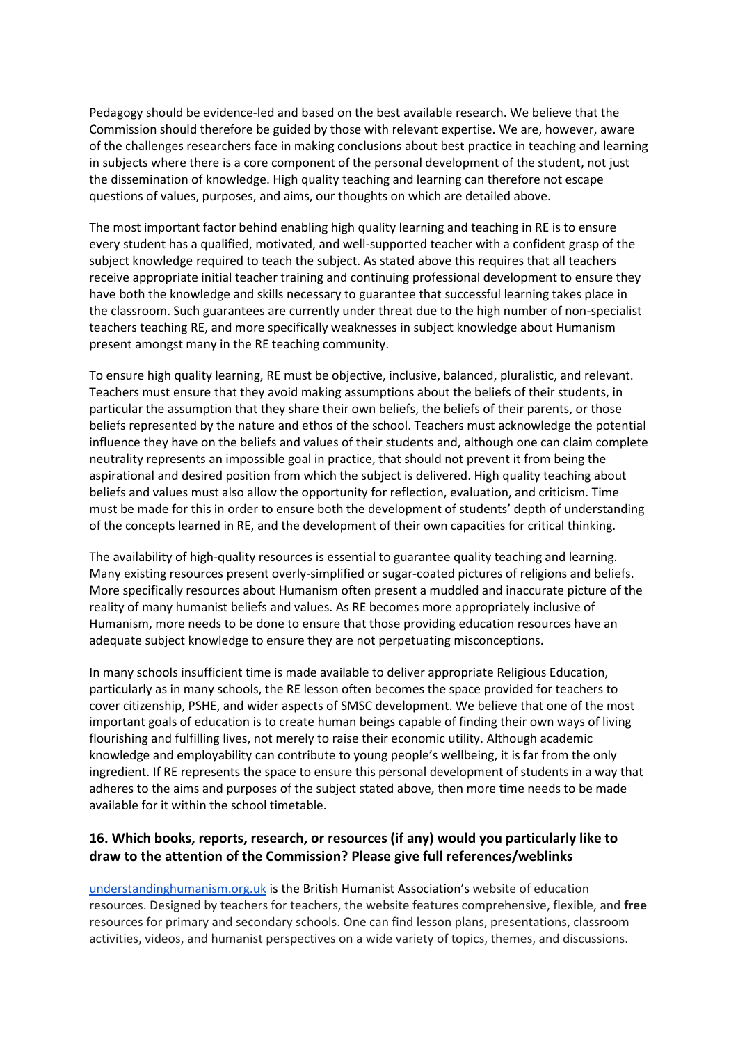Pedagogy should be evidence-led and based on the best available research. We believe that the Commission should therefore be guided by those with relevant expertise. We are, however, aware of the challenges researchers face in making conclusions about best practice in teaching and learning in subjects where there is a core component of the personal development of the student, not just the dissemination of knowledge. High quality teaching and learning can therefore not escape questions of values, purposes, and aims, our thoughts on which are detailed above.

The most important factor behind enabling high quality learning and teaching in RE is to ensure every student has a qualified, motivated, and well-supported teacher with a confident grasp of the subject knowledge required to teach the subject. As stated above this requires that all teachers receive appropriate initial teacher training and continuing professional development to ensure they have both the knowledge and skills necessary to guarantee that successful learning takes place in the classroom. Such guarantees are currently under threat due to the high number of non-specialist teachers teaching RE, and more specifically weaknesses in subject knowledge about Humanism present amongst many in the RE teaching community.

To ensure high quality learning, RE must be objective, inclusive, balanced, pluralistic, and relevant. Teachers must ensure that they avoid making assumptions about the beliefs of their students, in particular the assumption that they share their own beliefs, the beliefs of their parents, or those beliefs represented by the nature and ethos of the school. Teachers must acknowledge the potential influence they have on the beliefs and values of their students and, although one can claim complete neutrality represents an impossible goal in practice, that should not prevent it from being the aspirational and desired position from which the subject is delivered. High quality teaching about beliefs and values must also allow the opportunity for reflection, evaluation, and criticism. Time must be made for this in order to ensure both the development of students' depth of understanding of the concepts learned in RE, and the development of their own capacities for critical thinking.

The availability of high-quality resources is essential to guarantee quality teaching and learning. Many existing resources present overly-simplified or sugar-coated pictures of religions and beliefs. More specifically resources about Humanism often present a muddled and inaccurate picture of the reality of many humanist beliefs and values. As RE becomes more appropriately inclusive of Humanism, more needs to be done to ensure that those providing education resources have an adequate subject knowledge to ensure they are not perpetuating misconceptions.

In many schools insufficient time is made available to deliver appropriate Religious Education, particularly as in many schools, the RE lesson often becomes the space provided for teachers to cover citizenship, PSHE, and wider aspects of SMSC development. We believe that one of the most important goals of education is to create human beings capable of finding their own ways of living flourishing and fulfilling lives, not merely to raise their economic utility. Although academic knowledge and employability can contribute to young people's wellbeing, it is far from the only ingredient. If RE represents the space to ensure this personal development of students in a way that adheres to the aims and purposes of the subject stated above, then more time needs to be made available for it within the school timetable.

### **16. Which books, reports, research, or resources (if any) would you particularly like to draw to the attention of the Commission? Please give full references/weblinks**

[understandinghumanism.org.uk](http://understandinghumanism.org.uk/) is the British Humanist Association's website of education resources. Designed by teachers for teachers, the website features comprehensive, flexible, and **free** resources for primary and secondary schools. One can find lesson plans, presentations, classroom activities, videos, and humanist perspectives on a wide variety of topics, themes, and discussions.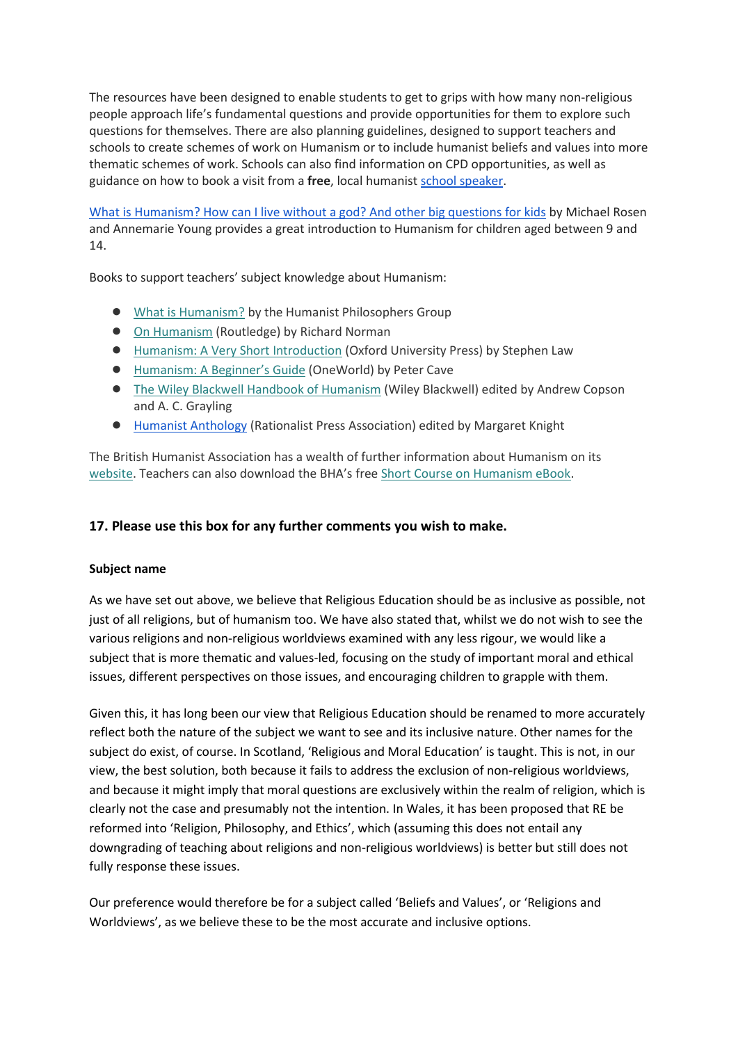The resources have been designed to enable students to get to grips with how many non-religious people approach life's fundamental questions and provide opportunities for them to explore such questions for themselves. There are also planning guidelines, designed to support teachers and schools to create schemes of work on Humanism or to include humanist beliefs and values into more thematic schemes of work. Schools can also find information on CPD opportunities, as well as guidance on how to book a visit from a **free**, local humanist [school speaker.](https://humanism.org.uk/wp-content/plugins/civicrm/civicrm/extern/url.php?u=8667&qid=594014)

[What is Humanism? How can I live without a god? And other big questions for kids](https://www.amazon.co.uk/What-Humanism-without-Other-Questions-x/dp/075028773X) by Michael Rosen and Annemarie Young provides a great introduction to Humanism for children aged between 9 and 14.

Books to support teachers' subject knowledge about Humanism:

- [What is Humanism?](https://humanism.org.uk/store/philosophy-books/) by the Humanist Philosophers Group
- [On Humanism](https://www.amazon.co.uk/Humanism-Thinking-Action-Richard-Norman/dp/0415670411) (Routledge) by Richard Norman
- [Humanism: A Very Short Introduction](https://www.amazon.co.uk/Humanism-Very-Short-Introduction-Introductions/dp/0199553645/ref=sr_1_1?s=books&ie=UTF8&qid=1461701506&sr=1-1&keywords=humanism+stephen+law) (Oxford University Press) by Stephen Law
- [Humanism: A Beginner's Guide](https://www.amazon.co.uk/Humanism-Beginners-Guide-Guides/dp/1851685898/ref=sr_1_1?s=books&ie=UTF8&qid=1461701529&sr=1-1&keywords=humanism+peter+cave) (OneWorld) by Peter Cave
- [The Wiley Blackwell Handbook of Humanism](https://www.amazon.co.uk/Wiley-Blackwell-Handbook-Humanism/dp/1119977177?ie=UTF8&*Version*=1&*entries*=0) (Wiley Blackwell) edited by Andrew Copson and A. C. Grayling
- [Humanist Anthology](https://humanism.org.uk/store/humanism/) (Rationalist Press Association) edited by Margaret Knight

The British Humanist Association has a wealth of further information about Humanism on its [website](https://humanism.org.uk/). Teachers can also download the BHA's fre[e Short Course on Humanism eBook.](https://humanism.org.uk/humanism-short-course-ebook)

### **17. Please use this box for any further comments you wish to make.**

### **Subject name**

As we have set out above, we believe that Religious Education should be as inclusive as possible, not just of all religions, but of humanism too. We have also stated that, whilst we do not wish to see the various religions and non-religious worldviews examined with any less rigour, we would like a subject that is more thematic and values-led, focusing on the study of important moral and ethical issues, different perspectives on those issues, and encouraging children to grapple with them.

Given this, it has long been our view that Religious Education should be renamed to more accurately reflect both the nature of the subject we want to see and its inclusive nature. Other names for the subject do exist, of course. In Scotland, 'Religious and Moral Education' is taught. This is not, in our view, the best solution, both because it fails to address the exclusion of non-religious worldviews, and because it might imply that moral questions are exclusively within the realm of religion, which is clearly not the case and presumably not the intention. In Wales, it has been proposed that RE be reformed into 'Religion, Philosophy, and Ethics', which (assuming this does not entail any downgrading of teaching about religions and non-religious worldviews) is better but still does not fully response these issues.

Our preference would therefore be for a subject called 'Beliefs and Values', or 'Religions and Worldviews', as we believe these to be the most accurate and inclusive options.